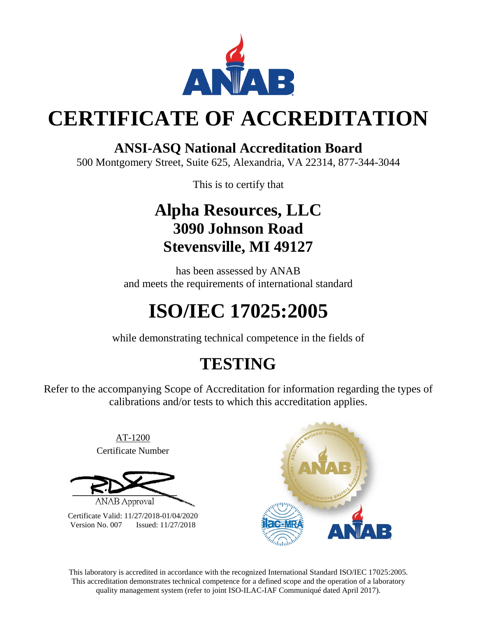

# **CERTIFICATE OF ACCREDITATION**

### **ANSI-ASQ National Accreditation Board**

500 Montgomery Street, Suite 625, Alexandria, VA 22314, 877-344-3044

This is to certify that

## **Alpha Resources, LLC 3090 Johnson Road Stevensville, MI 49127**

has been assessed by ANAB and meets the requirements of international standard

# **ISO/IEC 17025:2005**

while demonstrating technical competence in the fields of

## **TESTING**

Refer to the accompanying Scope of Accreditation for information regarding the types of calibrations and/or tests to which this accreditation applies.

> AT-1200 Certificate Number



Certificate Valid: 11/27/2018-01/04/2020 Version No. 007 Issued: 11/27/2018



This laboratory is accredited in accordance with the recognized International Standard ISO/IEC 17025:2005. This accreditation demonstrates technical competence for a defined scope and the operation of a laboratory quality management system (refer to joint ISO-ILAC-IAF Communiqué dated April 2017).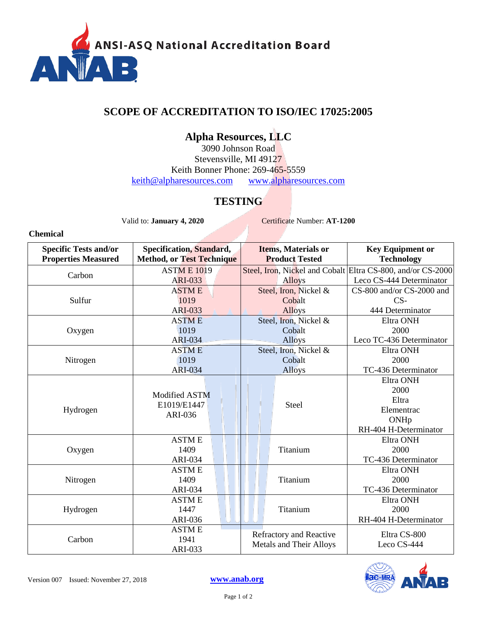

### **SCOPE OF ACCREDITATION TO ISO/IEC 17025:2005**

### **Alpha Resources, LLC**

3090 Johnson Road Stevensville, MI 49127 Keith Bonner Phone: 269-465-5559 [keith@alpharesources.com](mailto:keith@alpharesources.com) [www.alpharesources.com](http://www.alpharesources.com/)

#### **TESTING**

Valid to: **January 4, 2020** Certificate Number: **AT-1200**

**Chemical**

| <b>Specific Tests and/or</b><br><b>Properties Measured</b> | Specification, Standard,<br><b>Method, or Test Technique</b> | <b>Items, Materials or</b><br><b>Product Tested</b>       | <b>Key Equipment or</b><br><b>Technology</b>                |
|------------------------------------------------------------|--------------------------------------------------------------|-----------------------------------------------------------|-------------------------------------------------------------|
| Carbon                                                     | <b>ASTM E 1019</b>                                           |                                                           | Steel, Iron, Nickel and Cobalt Eltra CS-800, and/or CS-2000 |
|                                                            | <b>ARI-033</b>                                               | <b>Alloys</b>                                             | Leco CS-444 Determinator                                    |
| Sulfur                                                     | <b>ASTME</b>                                                 | Steel, Iron, Nickel &                                     | CS-800 and/or CS-2000 and                                   |
|                                                            | 1019                                                         | Cobalt                                                    | $CS-$                                                       |
|                                                            | <b>ARI-033</b>                                               | <b>Alloys</b>                                             | 444 Determinator                                            |
| Oxygen                                                     | <b>ASTME</b>                                                 | Steel, Iron, Nickel &                                     | Eltra ONH                                                   |
|                                                            | 1019                                                         | Cobalt                                                    | 2000                                                        |
|                                                            | <b>ARI-034</b>                                               | <b>Alloys</b>                                             | Leco TC-436 Determinator                                    |
|                                                            | <b>ASTME</b>                                                 | Steel, Iron, Nickel &                                     | Eltra ONH                                                   |
| Nitrogen                                                   | 1019                                                         | Cobalt                                                    | 2000                                                        |
|                                                            | <b>ARI-034</b>                                               | <b>Alloys</b>                                             | TC-436 Determinator                                         |
|                                                            |                                                              | Steel                                                     | Eltra ONH                                                   |
|                                                            | Modified ASTM                                                |                                                           | 2000                                                        |
|                                                            | E1019/E1447                                                  |                                                           | Eltra                                                       |
| Hydrogen                                                   | ARI-036                                                      |                                                           | Elementrac                                                  |
|                                                            |                                                              |                                                           | ONHp                                                        |
|                                                            |                                                              |                                                           | RH-404 H-Determinator                                       |
| Oxygen                                                     | <b>ASTME</b>                                                 | Titanium                                                  | Eltra ONH                                                   |
|                                                            | 1409                                                         |                                                           | 2000                                                        |
|                                                            | <b>ARI-034</b>                                               |                                                           | TC-436 Determinator                                         |
| Nitrogen                                                   | <b>ASTME</b>                                                 | Titanium                                                  | Eltra ONH                                                   |
|                                                            | 1409                                                         |                                                           | 2000                                                        |
|                                                            | <b>ARI-034</b>                                               |                                                           | TC-436 Determinator                                         |
| Hydrogen                                                   | <b>ASTME</b>                                                 | Titanium                                                  | Eltra ONH                                                   |
|                                                            | 1447                                                         |                                                           | 2000                                                        |
|                                                            | ARI-036                                                      |                                                           | RH-404 H-Determinator                                       |
| Carbon                                                     | <b>ASTME</b>                                                 |                                                           | Eltra CS-800                                                |
|                                                            | 1941                                                         | Refractory and Reactive<br><b>Metals and Their Alloys</b> | Leco CS-444                                                 |
|                                                            | ARI-033                                                      |                                                           |                                                             |